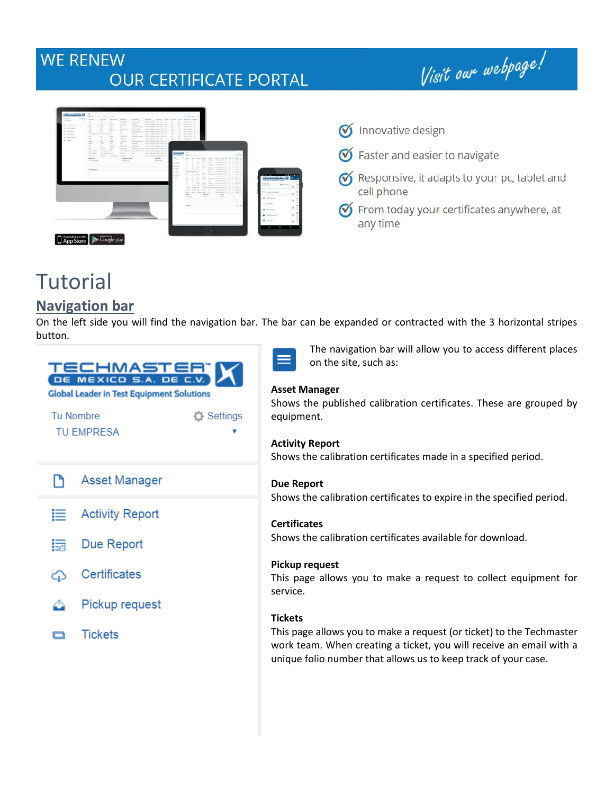# **WE RENEW OUR CERTIFICATE PORTAL**

Visit our webpage!



# **Tutorial**

## **Navigation bar**

On the left side you will find the navigation bar. The bar can be expanded or contracted with the 3 horizontal stripes button.

| TECHMASTER" X<br><b>Global Leader in Test Equipment Solutions</b> |                                       |  |  |  |  |  |  |
|-------------------------------------------------------------------|---------------------------------------|--|--|--|--|--|--|
|                                                                   | <b>Tu Nombre</b><br><b>Q</b> Settings |  |  |  |  |  |  |
|                                                                   | TU EMPRESA                            |  |  |  |  |  |  |
| Г٩                                                                | <b>Asset Manager</b>                  |  |  |  |  |  |  |
| 這                                                                 | <b>Activity Report</b>                |  |  |  |  |  |  |
| 15                                                                | Due Report                            |  |  |  |  |  |  |
| ⊕                                                                 | Certificates                          |  |  |  |  |  |  |
| ≏                                                                 | Pickup request                        |  |  |  |  |  |  |
|                                                                   | <b>Tickets</b>                        |  |  |  |  |  |  |
|                                                                   |                                       |  |  |  |  |  |  |

The navigation bar will allow you to access different places on the site, such as:

#### **Asset Manager**

Shows the published calibration certificates. These are grouped by equipment.

#### **Activity Report**  Shows the calibration certificates made in a specified period.

**Due Report**  Shows the calibration certificates to expire in the specified period.

**Certificates**  Shows the calibration certificates available for download.

**Pickup request**  This page allows you to make a request to collect equipment for service.

#### **Tickets**

This page allows you to make a request (or ticket) to the Techmaster work team. When creating a ticket, you will receive an email with a unique folio number that allows us to keep track of your case.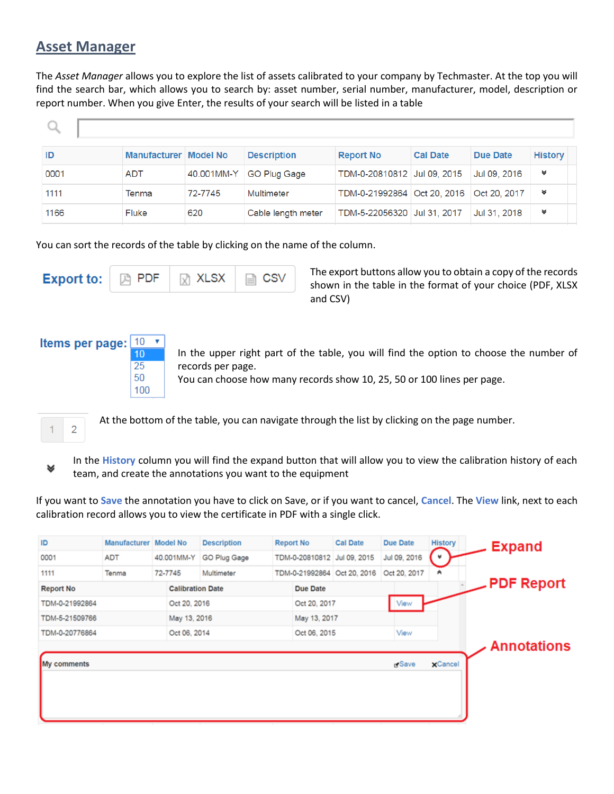#### **Asset Manager**

The *Asset Manager* allows you to explore the list of assets calibrated to your company by Techmaster. At the top you will find the search bar, which allows you to search by: asset number, serial number, manufacturer, model, description or report number. When you give Enter, the results of your search will be listed in a table

| <b>ID</b> | Manufacturer   Model No |            | <b>Description</b>  | <b>Report No</b>            | <b>Cal Date</b> | <b>Due Date</b> | <b>History</b> |
|-----------|-------------------------|------------|---------------------|-----------------------------|-----------------|-----------------|----------------|
| 0001      | <b>ADT</b>              | 40.001MM-Y | <b>GO Plug Gage</b> | TDM-0-20810812 Jul 09, 2015 |                 | Jul 09, 2016    | ₩              |
| 1111      | Tenma                   | 72-7745    | Multimeter          | TDM-0-21992864 Oct 20, 2016 |                 | Oct 20, 2017    | ₩              |
| 1166      | <b>Fluke</b>            | 620        | Cable length meter  | TDM-5-22056320 Jul 31, 2017 |                 | Jul 31, 2018    | ₩              |

You can sort the records of the table by clicking on the name of the column.

|  | <b>Export to:</b> $\boxed{\mathbb{R}}$ PDF $\boxed{\mathbb{R}}$ XLSX $\boxed{\mathbb{R}}$ CSV |  |  |  |
|--|-----------------------------------------------------------------------------------------------|--|--|--|
|--|-----------------------------------------------------------------------------------------------|--|--|--|

25 50 100 The export buttons allow you to obtain a copy of the records shown in the table in the format of your choice (PDF, XLSX and CSV)



In the upper right part of the table, you will find the option to choose the number of records per page.

You can choose how many records show 10, 25, 50 or 100 lines per page.



At the bottom of the table, you can navigate through the list by clicking on the page number.



In the **History** column you will find the expand button that will allow you to view the calibration history of each team, and create the annotations you want to the equipment

If you want to **Save** the annotation you have to click on Save, or if you want to cancel, **Cancel**. The **View** link, next to each calibration record allows you to view the certificate in PDF with a single click.

| ID               | Manufacturer Model No |                         | <b>Description</b> | <b>Report No</b> | <b>Cal Date</b>             | <b>Due Date</b>   | <b>History</b>  | <b>Expand</b>      |
|------------------|-----------------------|-------------------------|--------------------|------------------|-----------------------------|-------------------|-----------------|--------------------|
| 0001             | <b>ADT</b>            | 40.001MM-Y              | GO Plug Gage       |                  | TDM-0-20810812 Jul 09, 2015 | Jul 09, 2016      | ſ v             |                    |
| 1111             | Tenma                 | 72-7745                 | Multimeter         |                  | TDM-0-21992864 Oct 20, 2016 | Oct 20, 2017      | A               |                    |
| <b>Report No</b> |                       | <b>Calibration Date</b> |                    | <b>Due Date</b>  |                             |                   |                 | <b>PDF Report</b>  |
| TDM-0-21992864   |                       | Oct 20, 2016            |                    | Oct 20, 2017     |                             | View              |                 |                    |
| TDM-5-21509766   |                       | May 13, 2016            |                    | May 13, 2017     |                             |                   |                 |                    |
| TDM-0-20776864   |                       | Oct 06, 2014            |                    | Oct 06, 2015     |                             | View              |                 |                    |
|                  |                       |                         |                    |                  |                             |                   |                 | <b>Annotations</b> |
| My comments      |                       |                         |                    |                  |                             | <sub>D</sub> Save | $\times$ Cancel |                    |
|                  |                       |                         |                    |                  |                             |                   |                 |                    |
|                  |                       |                         |                    |                  |                             |                   |                 |                    |
|                  |                       |                         |                    |                  |                             |                   |                 |                    |
|                  |                       |                         |                    |                  |                             |                   |                 |                    |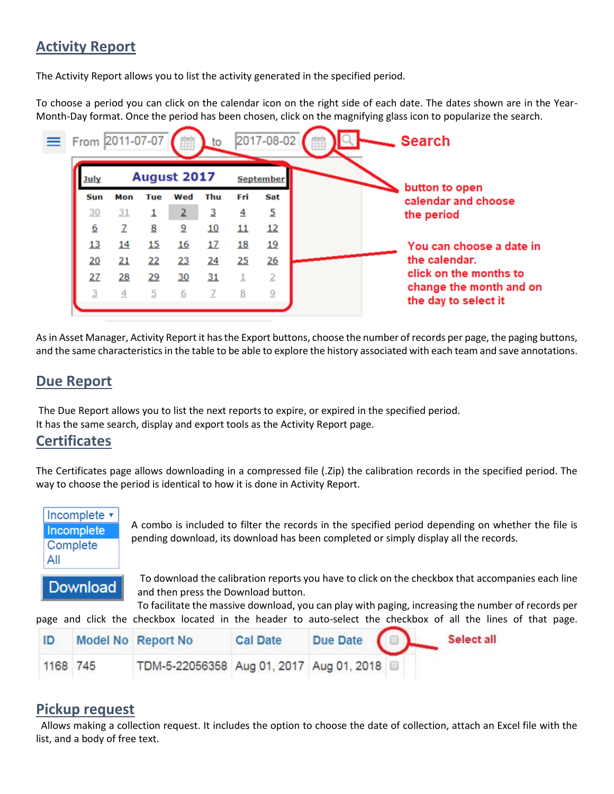## **Activity Report**

The Activity Report allows you to list the activity generated in the specified period.

To choose a period you can click on the calendar icon on the right side of each date. The dates shown are in the Year-Month-Day format. Once the period has been chosen, click on the magnifying glass icon to popularize the search.



As in Asset Manager, Activity Report it has the Export buttons, choose the number of records per page, the paging buttons, and the same characteristics in the table to be able to explore the history associated with each team and save annotations.

### **Due Report**

The Due Report allows you to list the next reports to expire, or expired in the specified period. It has the same search, display and export tools as the Activity Report page.

#### **Certificates**

The Certificates page allows downloading in a compressed file (.Zip) the calibration records in the specified period. The way to choose the period is identical to how it is done in Activity Report.



A combo is included to filter the records in the specified period depending on whether the file is pending download, its download has been completed or simply display all the records.

**Download** 

To download the calibration reports you have to click on the checkbox that accompanies each line and then press the Download button.

To facilitate the massive download, you can play with paging, increasing the number of records per page and click the checkbox located in the header to auto-select the checkbox of all the lines of that page.

| ID       | Model No Report No                       | <b>Cal Date</b> | Due Date ( |  | Select all |
|----------|------------------------------------------|-----------------|------------|--|------------|
| 1168 745 | TDM-5-22056358 Aug 01, 2017 Aug 01, 2018 |                 |            |  |            |

#### **Pickup request**

 Allows making a collection request. It includes the option to choose the date of collection, attach an Excel file with the list, and a body of free text.